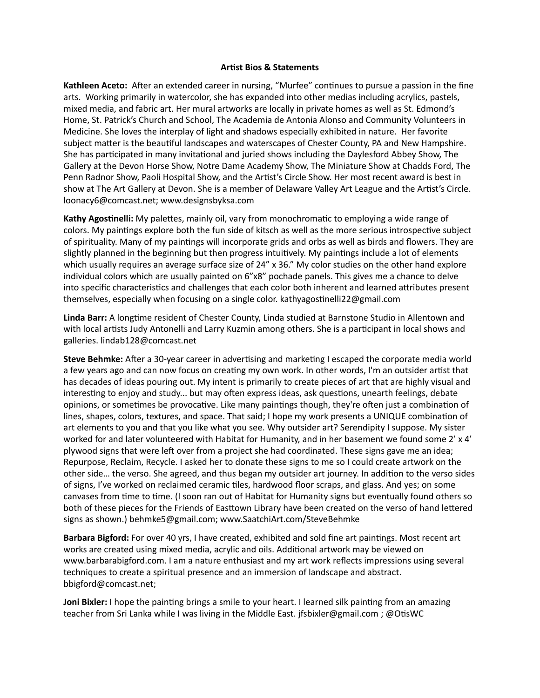## **Artist Bios & Statements**

**Kathleen Aceto:** After an extended career in nursing, "Murfee" continues to pursue a passion in the fine arts. Working primarily in watercolor, she has expanded into other medias including acrylics, pastels, mixed media, and fabric art. Her mural artworks are locally in private homes as well as St. Edmond's Home, St. Patrick's Church and School, The Academia de Antonia Alonso and Community Volunteers in Medicine. She loves the interplay of light and shadows especially exhibited in nature. Her favorite subject matter is the beautiful landscapes and waterscapes of Chester County, PA and New Hampshire. She has participated in many invitational and juried shows including the Daylesford Abbey Show, The Gallery at the Devon Horse Show, Notre Dame Academy Show, The Miniature Show at Chadds Ford, The Penn Radnor Show, Paoli Hospital Show, and the Artist's Circle Show. Her most recent award is best in show at The Art Gallery at Devon. She is a member of Delaware Valley Art League and the Artist's Circle. [loonacy6@comcast.net;](mailto:loonacy6@comcast.net) www.designsbyksa.com

**Kathy Agostinelli:** My palettes, mainly oil, vary from monochromatic to employing a wide range of colors. My paintings explore both the fun side of kitsch as well as the more serious introspective subject of spirituality. Many of my paintings will incorporate grids and orbs as well as birds and flowers. They are slightly planned in the beginning but then progress intuitively. My paintings include a lot of elements which usually requires an average surface size of 24" x 36." My color studies on the other hand explore individual colors which are usually painted on 6"x8" pochade panels. This gives me a chance to delve into specific characteristics and challenges that each color both inherent and learned attributes present themselves, especially when focusing on a single color. [kathyagostinelli22@gmail.com](mailto:kathyagostinelli22@gmail.com)

**Linda Barr:** A longtime resident of Chester County, Linda studied at Barnstone Studio in Allentown and with local artists Judy Antonelli and Larry Kuzmin among others. She is a participant in local shows and galleries. lindab128@comcast.net

**Steve Behmke:** After a 30-year career in advertising and marketing I escaped the corporate media world a few years ago and can now focus on creating my own work. In other words, I'm an outsider artist that has decades of ideas pouring out. My intent is primarily to create pieces of art that are highly visual and interesting to enjoy and study... but may often express ideas, ask questions, unearth feelings, debate opinions, or sometimes be provocative. Like many paintings though, they're often just a combination of lines, shapes, colors, textures, and space. That said; I hope my work presents a UNIQUE combination of art elements to you and that you like what you see. Why outsider art? Serendipity I suppose. My sister worked for and later volunteered with Habitat for Humanity, and in her basement we found some 2' x 4' plywood signs that were left over from a project she had coordinated. These signs gave me an idea; Repurpose, Reclaim, Recycle. I asked her to donate these signs to me so I could create artwork on the other side… the verso. She agreed, and thus began my outsider art journey. In addition to the verso sides of signs, I've worked on reclaimed ceramic tiles, hardwood floor scraps, and glass. And yes; on some canvases from time to time. (I soon ran out of Habitat for Humanity signs but eventually found others so both of these pieces for the Friends of Easttown Library have been created on the verso of hand lettered signs as shown.) [behmke5@gmail.com](mailto:behmke5@gmail.com); www.SaatchiArt.com/SteveBehmke

**Barbara Bigford:** For over 40 yrs, I have created, exhibited and sold fine art paintings. Most recent art works are created using mixed media, acrylic and oils. Additional artwork may be viewed on www.barbarabigford.com. I am a nature enthusiast and my art work reflects impressions using several techniques to create a spiritual presence and an immersion of landscape and abstract. bbigford@comcast.net;

**Joni Bixler:** I hope the p[ainting brings a smile to yo](http://www.barbarabigford.com)ur heart. I learned silk painting from an amazing teacher from Sri Lanka while I was living in the Middle East. jfsbixler@gmail.com ; @OtisWC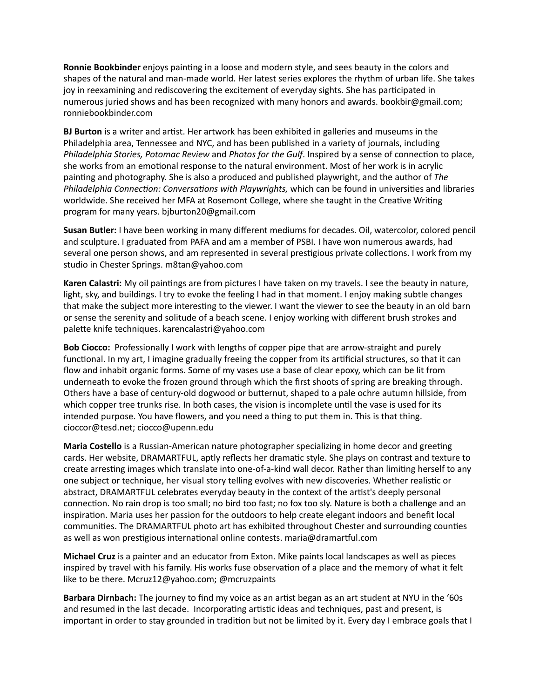**Ronnie Bookbinder** enjoys painting in a loose and modern style, and sees beauty in the colors and shapes of the natural and man-made world. Her latest series explores the rhythm of urban life. She takes joy in reexamining and rediscovering the excitement of everyday sights. She has participated in numerous juried shows and has been recognized with many honors and awards. bookbir@gmail.com; ronniebookbinder.com

**BJ Burton** is a writer and artist. Her artwork has been exhibited in galleries and museums in the Philadelphia area, Tennessee and NYC, and has been published in a variety of journals, including *Philadelphia Stories, Potomac Review* and *Photos for the Gulf*. Inspired by a sense of connection to place, she works from an emotional response to the natural environment. Most of her work is in acrylic painting and photography. She is also a produced and published playwright, and the author of *The Philadelphia Connection: Conversations with Playwrights,* which can be found in universities and libraries worldwide. She received her MFA at Rosemont College, where she taught in the Creative Writing program for many years. [bjburton20@gmail.com](mailto:bjburton20@gmail.com)

**Susan Butler:** I have been working in many different mediums for decades. Oil, watercolor, colored pencil and sculpture. I graduated from PAFA and am a member of PSBI. I have won numerous awards, had several one person shows, and am represented in several prestigious private collections. I work from my studio in Chester Springs. [m8tan@yahoo.com](mailto:m8tan@yahoo.com)

**Karen Calastri:** My oil paintings are from pictures I have taken on my travels. I see the beauty in nature, light, sky, and buildings. I try to evoke the feeling I had in that moment. I enjoy making subtle changes that make the subject more interesting to the viewer. I want the viewer to see the beauty in an old barn or sense the serenity and solitude of a beach scene. I enjoy working with different brush strokes and palette knife techniques. karencalastri@yahoo.com

**Bob Ciocco:** Professionally I work with lengths of copper pipe that are arrow-straight and purely functional. In my art, I imagine gradually freeing the copper from its artificial structures, so that it can flow and inhabit organic forms. Some of my vases use a base of clear epoxy, which can be lit from underneath to evoke the frozen ground through which the first shoots of spring are breaking through. Others have a base of century-old dogwood or butternut, shaped to a pale ochre autumn hillside, from which copper tree trunks rise. In both cases, the vision is incomplete until the vase is used for its intended purpose. You have flowers, and you need a thing to put them in. This is that thing. cioccor@tesd.net; [ciocco@upenn.edu](mailto:ciocco@upenn.edu)

**Maria Costello** is a Russian-American nature photographer specializing in home decor and greeting cards. Her website, DRAMARTFUL, aptly reflects her dramatic style. She plays on contrast and texture to create arresting images which translate into one-of-a-kind wall decor. Rather than limiting herself to any one subject or technique, her visual story telling evolves with new discoveries. Whether realistic or abstract, DRAMARTFUL celebrates everyday beauty in the context of the artist's deeply personal connection. No rain drop is too small; no bird too fast; no fox too sly. Nature is both a challenge and an inspiration. Maria uses her passion for the outdoors to help create elegant indoors and benefit local communities. The DRAMARTFUL photo art has exhibited throughout Chester and surrounding counties as well as won prestigious international online contests. maria@dramartful.com

**Michael Cruz** is a painter and an educator from Exton. Mike paints local landscapes as well as pieces inspired by travel with his family. His works fuse observation of a place and the memory of what it felt like to be there. Mcruz12@yahoo.com; @mcruzpaints

**Barbara Dirnbach:** The journey to find my voice as an artist began as an art student at NYU in the '60s and resumed in the last decade. Incorporating artistic ideas and techniques, past and present, is important in order to stay grounded in tradition but not be limited by it. Every day I embrace goals that I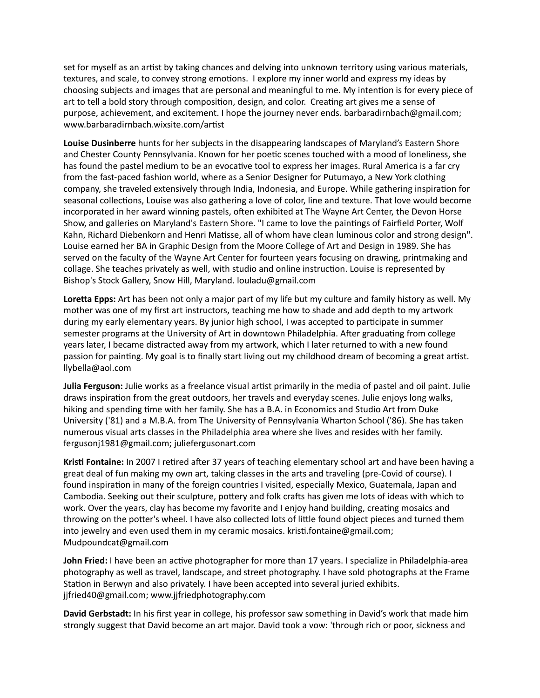set for myself as an artist by taking chances and delving into unknown territory using various materials, textures, and scale, to convey strong emotions. I explore my inner world and express my ideas by choosing subjects and images that are personal and meaningful to me. My intention is for every piece of art to tell a bold story through composition, design, and color. Creating art gives me a sense of purpose, achievement, and excitement. I hope the journey never ends. barbaradirnbach@gmail.com; [www.barbaradirnbach.wixsite.com/artist](http://www.barbaradirnbach.wixsite.com/artist)

**Louise Dusinberre** hunts for her subjects in the disappearing landscapes of Maryland's Eastern Shore and Chester County Pennsylvania. Known for her poetic scenes touched with a mood of loneliness, she has found the pastel medium to be an evocative tool to express her images. Rural America is a far cry from the fast-paced fashion world, where as a Senior Designer for Putumayo, a New York clothing company, she traveled extensively through India, Indonesia, and Europe. While gathering inspiration for seasonal collections, Louise was also gathering a love of color, line and texture. That love would become incorporated in her award winning pastels, often exhibited at The Wayne Art Center, the Devon Horse Show, and galleries on Maryland's Eastern Shore. "I came to love the paintings of Fairfield Porter, Wolf Kahn, Richard Diebenkorn and Henri Matisse, all of whom have clean luminous color and strong design". Louise earned her BA in Graphic Design from the Moore College of Art and Design in 1989. She has served on the faculty of the Wayne Art Center for fourteen years focusing on drawing, printmaking and collage. She teaches privately as well, with studio and online instruction. Louise is represented by Bishop's Stock Gallery, Snow Hill, Maryland. louladu@gmail.com

**Loretta Epps:** Art has been not only a major part of my life but my culture and family history as well. My mother was one of my first art instructors, teaching me how to shade and add depth to my artwork during my early elementary years. By junior high school, I was accepted to participate in summer semester programs at the University of Art in downtown Philadelphia. After graduating from college years later, I became distracted away from my artwork, which I later returned to with a new found passion for painting. My goal is to finally start living out my childhood dream of becoming a great artist. llybella@aol.com

**Julia Ferguson:** Julie works as a freelance visual artist primarily in the media of pastel and oil paint. Julie draws inspiration from the great outdoors, her travels and everyday scenes. Julie enjoys long walks, hiking and spending time with her family. She has a B.A. in Economics and Studio Art from Duke University ('81) and a M.B.A. from The University of Pennsylvania Wharton School ('86). She has taken numerous visual arts classes in the Philadelphia area where she lives and resides with her family. fergusonj1981@gmail.com; juliefergusonart.com

**Kristi Fontaine:** In 2007 I retired after 37 years of teaching elementary school art and have been having a great deal of fun making my own art, taking classes in the arts and traveling (pre-Covid of course). I found inspiration in many of the foreign countries I visited, especially Mexico, Guatemala, Japan and Cambodia. Seeking out their sculpture, pottery and folk crafts has given me lots of ideas with which to work. Over the years, clay has become my favorite and I enjoy hand building, creating mosaics and throwing on the potter's wheel. I have also collected lots of little found object pieces and turned them into jewelry and even used them in my ceramic mosaics. kristi.fontaine@gmail.com; Mudpoundcat@gmail.com

**John Fried:** I have been an active photographer for more than 17 years. I specialize in Philadelphia-area photography as well as travel, landscape, and street photography. I have sold photographs at the Frame Station in Berwyn and also privately. I have been accepted into several juried exhibits. jjfried40@gmail.com; www.jjfriedphotography.com

**David Gerbstadt:** In his first year in college, his professor saw something in David's work that made him strongly suggest that David become an art major. David took a vow: 'through rich or poor, sickness and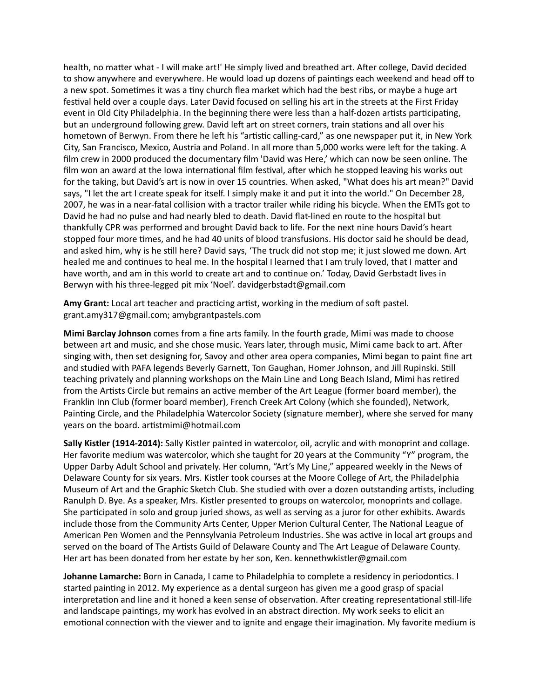health, no matter what - I will make art!' He simply lived and breathed art. After college, David decided to show anywhere and everywhere. He would load up dozens of paintings each weekend and head off to a new spot. Sometimes it was a tiny church flea market which had the best ribs, or maybe a huge art festival held over a couple days. Later David focused on selling his art in the streets at the First Friday event in Old City Philadelphia. In the beginning there were less than a half-dozen artists participating, but an underground following grew. David left art on street corners, train stations and all over his hometown of Berwyn. From there he left his "artistic calling-card," as one newspaper put it, in New York City, San Francisco, Mexico, Austria and Poland. In all more than 5,000 works were left for the taking. A film crew in 2000 produced the documentary film 'David was Here,' which can now be seen online. The film won an award at the Iowa international film festival, after which he stopped leaving his works out for the taking, but David's art is now in over 15 countries. When asked, "What does his art mean?" David says, "I let the art I create speak for itself. I simply make it and put it into the world." On December 28, 2007, he was in a near-fatal collision with a tractor trailer while riding his bicycle. When the EMTs got to David he had no pulse and had nearly bled to death. David flat-lined en route to the hospital but thankfully CPR was performed and brought David back to life. For the next nine hours David's heart stopped four more times, and he had 40 units of blood transfusions. His doctor said he should be dead, and asked him, why is he still here? David says, 'The truck did not stop me; it just slowed me down. Art healed me and continues to heal me. In the hospital I learned that I am truly loved, that I matter and have worth, and am in this world to create art and to continue on.' Today, David Gerbstadt lives in Berwyn with his three-legged pit mix 'Noel'. [davidgerbstadt@gmail.com](mailto:davidgerbstadt@gmail.com)

**Amy Grant:** Local art teacher and practicing artist, working in the medium of soft pastel. grant.amy317@gmail.com; amybgrantpastels.com

**Mimi Barclay Johnson** comes from a fine arts family. In the fourth grade, Mimi was made to choose between art and music, and she chose music. Years later, through music, Mimi came back to art. After singing with, then set designing for, Savoy and other area opera companies, Mimi began to paint fine art and studied with PAFA legends Beverly Garnett, Ton Gaughan, Homer Johnson, and Jill Rupinski. Still teaching privately and planning workshops on the Main Line and Long Beach Island, Mimi has retired from the Artists Circle but remains an active member of the Art League (former board member), the Franklin Inn Club (former board member), French Creek Art Colony (which she founded), Network, Painting Circle, and the Philadelphia Watercolor Society (signature member), where she served for many years on the board. [artistmimi@hotmail.com](mailto:artistmimi@hotmail.com)

**Sally Kistler (1914-2014):** Sally Kistler painted in watercolor, oil, acrylic and with monoprint and collage. Her favorite medium was watercolor, which she taught for 20 years at the Community "Y" program, the Upper Darby Adult School and privately. Her column, "Art's My Line," appeared weekly in the News of Delaware County for six years. Mrs. Kistler took courses at the Moore College of Art, the Philadelphia Museum of Art and the Graphic Sketch Club. She studied with over a dozen outstanding artists, including Ranulph D. Bye. As a speaker, Mrs. Kistler presented to groups on watercolor, monoprints and collage. She participated in solo and group juried shows, as well as serving as a juror for other exhibits. Awards include those from the Community Arts Center, Upper Merion Cultural Center, The National League of American Pen Women and the Pennsylvania Petroleum Industries. She was active in local art groups and served on the board of The Artists Guild of Delaware County and The Art League of Delaware County. Her art has been donated from her estate by her son, Ken. [kennethwkistler@gmail.com](mailto:kennethwkistler@gmail.com)

**Johanne Lamarche:** Born in Canada, I came to Philadelphia to complete a residency in periodontics. I started painting in 2012. My experience as a dental surgeon has given me a good grasp of spacial interpretation and line and it honed a keen sense of observation. After creating representational still-life and landscape paintings, my work has evolved in an abstract direction. My work seeks to elicit an emotional connection with the viewer and to ignite and engage their imagination. My favorite medium is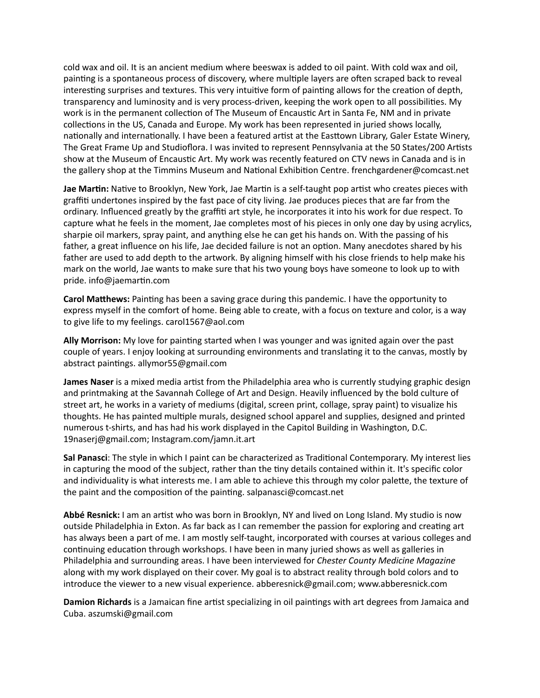cold wax and oil. It is an ancient medium where beeswax is added to oil paint. With cold wax and oil, painting is a spontaneous process of discovery, where multiple layers are often scraped back to reveal interesting surprises and textures. This very intuitive form of painting allows for the creation of depth, transparency and luminosity and is very process-driven, keeping the work open to all possibilities. My work is in the permanent collection of The Museum of Encaustic Art in Santa Fe, NM and in private collections in the US, Canada and Europe. My work has been represented in juried shows locally, nationally and internationally. I have been a featured artist at the Easttown Library, Galer Estate Winery, The Great Frame Up and Studioflora. I was invited to represent Pennsylvania at the 50 States/200 Artists show at the Museum of Encaustic Art. My work was recently featured on CTV news in Canada and is in the gallery shop at the Timmins Museum and National Exhibition Centre. [frenchgardener@comcast.net](mailto:frenchgardener@comcast.net)

**Jae Martin:** Native to Brooklyn, New York, Jae Martin is a self-taught pop artist who creates pieces with graffiti undertones inspired by the fast pace of city living. Jae produces pieces that are far from the ordinary. Influenced greatly by the graffiti art style, he incorporates it into his work for due respect. To capture what he feels in the moment, Jae completes most of his pieces in only one day by using acrylics, sharpie oil markers, spray paint, and anything else he can get his hands on. With the passing of his father, a great influence on his life, Jae decided failure is not an option. Many anecdotes shared by his father are used to add depth to the artwork. By aligning himself with his close friends to help make his mark on the world, Jae wants to make sure that his two young boys have someone to look up to with pride. info@jaemartin.com

**Carol Matthews:** Painting has been a saving grace during this pandemic. I have the opportunity to express myself in the comfort of home. Being able to create, with a focus on texture and color, is a way to give life to my feelings. carol1567@aol.com

**Ally Morrison:** My love for painting started when I was younger and was ignited again over the past couple of years. I enjoy looking at surrounding environments and translating it to the canvas, mostly by abstract paintings. allymor55@gmail.com

**James Naser** is a mixed media artist from the Philadelphia area who is currently studying graphic design and printmaking at the Savannah College of Art and Design. Heavily influenced by the bold culture of street art, he works in a variety of mediums (digital, screen print, collage, spray paint) to visualize his thoughts. He has painted multiple murals, designed school apparel and supplies, designed and printed numerous t-shirts, and has had his work displayed in the Capitol Building in Washington, D.C. [19naserj@gmail.com](mailto:19naserj@gmail.com); Instagram.com/jamn.it.art

**Sal Panasci**: The style in which I paint can be characterized as Traditional Contemporary. My interest lies in capturing the mood of the subject, rather than the tiny details contained within it. It's specific color and individuality is what interests me. I am able to achieve this through my color palette, the texture of the paint and the composition of the painting. [salpanasci@comcast.net](mailto:salpanasci@comcast.net)

**Abbé Resnick:** I am an artist who was born in Brooklyn, NY and lived on Long Island. My studio is now outside Philadelphia in Exton. As far back as I can remember the passion for exploring and creating art has always been a part of me. I am mostly self-taught, incorporated with courses at various colleges and continuing education through workshops. I have been in many juried shows as well as galleries in Philadelphia and surrounding areas. I have been interviewed for *Chester County Medicine Magazine* along with my work displayed on their cover. My goal is to abstract reality through bold colors and to introduce the viewer to a new visual experience. abberesnick@gmail.com; www.abberesnick.com

**Damion Richards** is a Jamaican fine artist specializing in oil paintings with art degrees from Jamaica and Cuba. aszumski@gmail.com